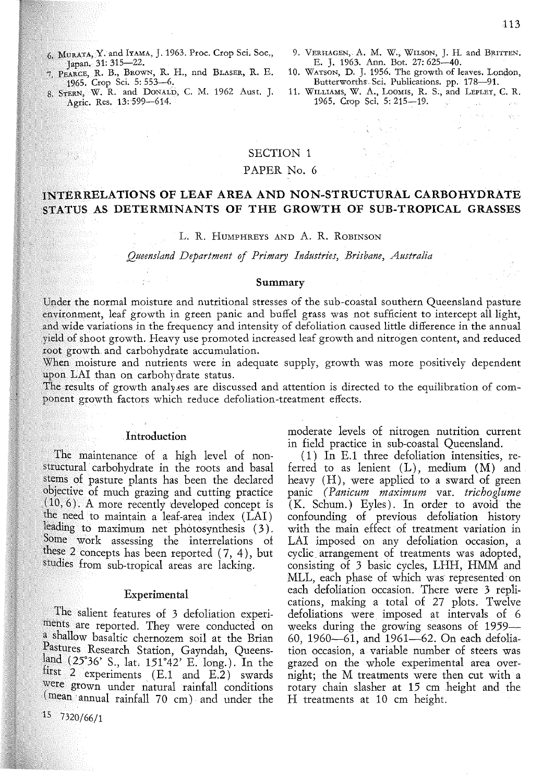- 6. MURATA, Y. and lYAMA, J. 1963. Proc. Crop Sci. Soc., Japan. 31: 315-22.
- ·7. PEARCE, R. B., BROWN, R. H., nnd BLASER, R. E. 1965. Crop Sci. 5: 553-6.
- 8. STERN, W. R. and DONALD, C. M. 1962 Aust, J. Agric. Res. 13:599-614.

15

- 9. VERHAGEN, A. M. W., WILSON, J. H. and BRITTEN. E. J. 1963. Ann. Bot. 27: 625-40.
- 10. WATSON, D. J. 1956. The growth of leaves. London, Butterworths-Sci. Publications. pp. 178-91.
- 11. WILLIAMS, W. A., LOOMIS, R. S:, and LEPLEY, C. R. 1965. Crop Sci. 5: 215-19.

#### SECTION 1

## PAPER No. 6

# **INTERRELATIONS OF LEAF AREA AND NON-STRUCTURAL CARBOHYDRATE STATUS AS DETERMINANTS OF THE GROWTH OF SUB-TROPICAL GRASSES**

#### L. R. HUMPHREYS AND A. R. ROBINSON

*Queensland Department of Primary Industries, Brisbane, Australia* 

## **Summary**

Under the normal moisture and nutritional stresses of the sub-coastal southern Queensland pasture environment, leaf growth in green panic and buffel grass was not sufficient to intercept all light, and wide variations in the frequency and intensity of defoliation caused little difference in the annual yield of shoot growth. Heavy use promoted increased leaf growth and nitrogen content, and reduced root growth and carbohydrate accumulation.

When moisture and nutrients were in adequate supply, growth was more positively dependent upon LAI than on carbohy drate status.

The results of growth analyses are discussed and attention is directed to the equilibration of component growth factors which reduce defoliation-treatment effects.

## **Introduction**

The maintenance of a high level of nonstructural carbohydrate in the roots and basal stems of pasture plants has been the declared objective of much grazing and cutting practice , ( 10, 6). A more recently developed concept is the need to maintain a leaf-area index  $(LAI)$ leading to maximum net photosynthesis (3). Some work assessing the interrelations of these 2 concepts has been reported ( 7, 4), but studies from sub-tropical areas are lacking.

## **Experimental**

The salient features of 3 defoliation experiments are reported. They were conducted on a shallow basaltic chernozem soil at the Brian Pastures Research Station, Gayndah, Queens- $\frac{\text{land}}{\text{land}}$  (25°36' S., lat. 151°42' E. long.). In the first 2 experiments (E.1 and E.2) swards were grown under natural rainfall conditions (mean annual rainfall 70 cm) and under the

 $15 - 7320/66/1$ 

moderate levels of nitrogen nutrition current in field practice in sub-coastal Queensland.

( 1) In E.l three defoliation intensities, referred to as lenient (L), medium (M) and heavy ( **H),** were applied to a sward of green panic *(Panicum maximum* var. *trichoglume*  (K. Schum.) Eyles). In order to avoid the confounding of previous defoliation history with the main effect of treatment variation in LAI imposed on any defoliation occasion, a cyclic arrangement of treatments was adopted, consisting of 3 basic cycles, LHH, HMM and MLL, each phase of which was represented on each defoliation occasion. There were 3 replications, making a total of 27 plots. Twelve defoliations were imposed at intervals of 6 weeks during the growing seasons of 1959— 60, 1960—61, and 1961—62. On each defoliation occasion, a variable number of steers was grazed on the whole experimental area overnight; the M treatments were then cut with a rotary chain slasher at 15 cm .height and the H treatments at 10 cm height.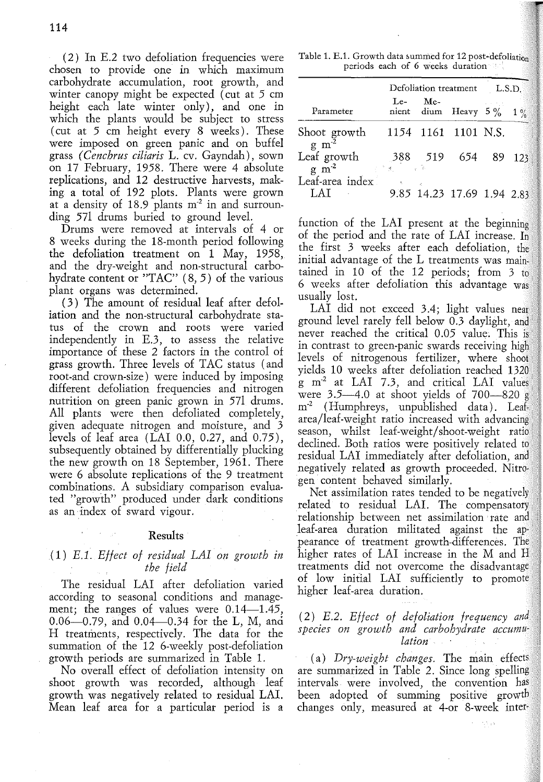( 2) In E.2 two defoliation frequencies were chosen to provide one in which maximum carbohydrate accumulation, root growth, and winter canopy might be expected ( cut at *5* cm height each late winter only), and one in which the plants would be subject to stress ( cut at *5* cm height every 8 weeks). These were imposed on green panic and on buffel grass *(Cenchrus ciliaris* L. cv. Gayndah), sown on 17 February, 1958. There were 4 absolute replications, and 12 destructive harvests, making a total of 192 plots. Plants were grown at a density of  $18.9$  plants m<sup>2</sup> in and surrounding 571 drums buried to ground level.

Drums were removed at intervals of 4 or 8 weeks during the 18-month period following the defoliation treatment on 1 May, 1958, and the dry-weight and non-structural carbohydrate content or "TAC" ( 8, 5) of the various plant organs was determined.

( 3) The amount of residual leaf after defoliation and the non-structural carbohydrate status of the crown and roots were varied independently in E.3, to assess the relative importance of these 2 factors in the control of grass growth. Three levels of TAC status ( and root-and crown-size) were induced by imposing different defoliation frequencies and nitrogen nutrition on green panic grown in 571 drums. All plants were then defoliated completely, given adequate nitrogen and moisture, and 3 levels of leaf area (LAI 0.0, 0.27, and 0.75), subsequently obtained by differentially plucking the new growth on 18 September, 1961. There were 6 absolute replications of the 9 treatment combinations. A subsidiary comparison evaluated "growth" produced under dark conditions as an index of sward vigour.

#### **Results**

## (1) *E.1. Effect of residual LAI on growth in the field*

The residual LAI after defoliation varied according to seasonal conditions and management; the ranges of values were  $0.14-1.45$ , 0.06-0.79, and 0.04-0.34 for the L, M, and H treatments, respectively. The data for the summation of the 12 6-weekly post-defoliation growth periods are summarized in Table 1.

No overall effect of defoliation intensity on shoot growth was recorded, although leaf growth was negatively related to residual LAI. Mean leaf area for a particular period is a

Table 1. E.1. Growth data summed for 12 post-defoliation periods each of 6 weeks duration

|                                   | Defoliation treatment |         |                            | L.S.D. |       |
|-----------------------------------|-----------------------|---------|----------------------------|--------|-------|
| Parameter                         |                       | Le- Me- | nient dium Heavy $5\%$     |        | $1\%$ |
| Shoot growth<br>g m <sup>-2</sup> |                       |         | 1154 1161 1101 N.S.        |        |       |
| Leaf growth<br>$g \text{ m}^2$    |                       |         | $388$ 519 654              | -89    | 123   |
| Leaf-area index<br>T A T          |                       |         | 9.85 14.23 17.69 1.94 2.83 |        |       |

function of the LAI present at the beginning of the period and the rate of LAI increase. In the first 3 weeks after each defoliation, the initial advantage of the L treatments was maintained in 10 of the 12 periods; from 3 to 6 weeks after defoliation this advantage was usually lost.

LAI did not exceed 3.4; light values near ground level rarely fell below 0.3 daylight, and never reached the critical *0.05* value: This is in contrast to green-panic swards receiving high levels of nitrogenous fertilizer, where shoot yields 10 weeks after defoliation reached 1320  $g$  m<sup>-2</sup> at LAI 7.3, and critical LAI values were  $3.5-4.0$  at shoot yields of  $700-820$  g were 3.3—4.0 at shoot yields of 700—820 g<br>m<sup>-2</sup> (Humphreys, unpublished data). Leaf-<br>area/leaf-weight ratio increased with advancing season, whilst leaf-weight/shoot-weight ratio declined. Both ratios were positively related to residual LAI immediately after defoliation, and negatively related as growth proceeded. Nitrogen content behaved similarly.

1

gen content behaved similarly.<br>Net assimilation rates tended to be negatively<br>relationship between net assimilation rate and<br>leaf-area duration militated against the ap-Net assimilation rates tended to be negatively related to residual LAI. The compensatory leaf-area duration militated against the appearance of treatment growth-differences. The higher rates of LAI increase in the M and  $H_1$ treatments did not overcome the disadvantage of low initial LAI sufficiently to promote higher leaf-area duration.

## (2) E.2. Effect of defoliation frequency and *species on growth and carbohydrate accumu-* <sup>1</sup> *lation*

(a) *Dry-weight changes.* The main effects are summarized in Table 2. Since long spelling intervals were involved, the convention has been adopted of summing positive growth changes only, measured at 4-or 8-week inter-

 $x = 32.0$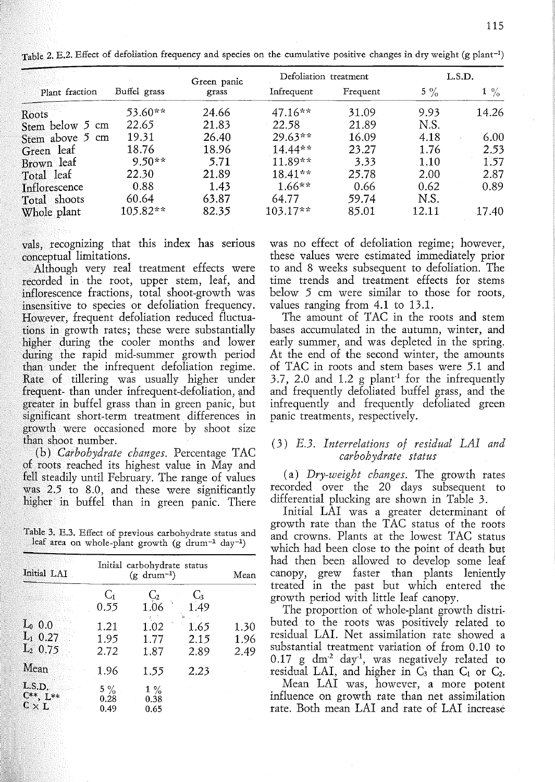Table 2. E.2. Effect of defoliation frequency and species on the cumulative positive changes in dry weight (g plant-1)

|                      | Buffel grass | Green panic | Defoliation treatment |          | L.S.D.         |                |
|----------------------|--------------|-------------|-----------------------|----------|----------------|----------------|
| Plant fraction       |              | grass       | Infrequent            | Frequent | $5\frac{0}{0}$ | $1\frac{0}{0}$ |
| Roots                | 53.60**      | 24.66       | $47.16**$             | 31.09    | 9.93           | 14.26          |
| Stem below 5<br>cm   | 22.65        | 21.83       | 22.58                 | 21.89    | N.S.           |                |
| Stem above 5<br>cm   | 19.31        | 26.40       | $29.63**$             | 16.09    | 4.18           | 6.00           |
| Green leaf           | 18.76        | 18.96       | $14.44**$             | 23.27    | 1.76           | 2.53           |
| Brown leaf           | $9.50**$     | 5.71        | 11.89**               | 3.33     | 1.10           | 1.57           |
| Total leaf           | 22.30        | 21.89       | $18.41**$             | 25.78    | 2.00           | 2.87           |
| <b>Inflorescence</b> | 0.88         | 1.43        | $1.66**$              | 0.66     | 0.62           | 0.89           |
| Total shoots         | 60.64        | 63.87       | 64.77                 | 59.74    | N.S.           |                |
| Whole plant          | 105.82**     | 82.35       | $103.17**$            | 85.01    | 12.11          | 17.40          |

vals, recognizing that this index has serious conceptual limitations.

Although very real treatment effects were recorded in the root, upper stem, leaf, and inflorescence fractions, total shoot-growth was insensitive to species or defoliation frequency. However, frequent defoliation reduced fluctuations in growth rates; these were substantially higher during the cooler months and lower during the rapid mid-summer growth period than under the infrequent defoliation regime. Rate of tillering was usually higher under frequent- than under infrequent-defoliation, and greater in buffel grass than in green panic, but significant short-term treatment. differences in growth were occasioned more by shoot size than shoot number.

(b) *Carbohydrate changes.* Percentage TAC of roots reached its highest value in May and fell steadily until February. The range of values was 2.5 to 8.0, and these were significantly higher in buffel than in green panic. There

Table 3. E.3. Effect of previous carbohydrate status and leaf area on whole-plant growth (g drum<sup>-1</sup> day<sup>-1</sup>)

| Initial LAI                                   | Initial carbohydrate status<br>$(g \, \text{drum}^{-1})$ | Mean                  |                      |                      |
|-----------------------------------------------|----------------------------------------------------------|-----------------------|----------------------|----------------------|
|                                               | $C_1$<br>0.55                                            | G2<br>1.06            | G3<br>1.49<br>×      |                      |
| $\rm L_0$ 0.0<br>$L_1$ 0.27<br>$L_2$ 0.75     | 1.21<br>1.95<br>2.72                                     | 1.02<br>1.77<br>1.87  | 1.65<br>2.15<br>2.89 | 1.30<br>1.96<br>2.49 |
| Mean                                          | 1.96                                                     | 1.55                  | 2.23                 |                      |
| L.S.D.<br>$C^{**}$ , $L^{**}$<br>$C \times L$ | $5\%$<br>0.28<br>0.49                                    | $1\%$<br>0.38<br>0.65 |                      |                      |

was no effect of defoliation regime; however, these values were estimated immediately prior to and 8 weeks subsequent to defoliation. The time trends and treatment effects for stems below *5* cm were similar to those for roots, values ranging from 4.1 to 13.1.

The amount of TAC in the roots and stem bases accumulated in the autumn, winter, and early summer, and was depleted in the spring. At the end of the second winter, the amounts of TAC in roots and stem bases were 5.1 and 3.7, 2.0 and 1.2  $g$  plant<sup>1</sup> for the infrequently and frequently defoliated buffel grass, and the infrequently and frequently defoliated green panic treatments, respectively.

## ( 3) *E.3. Interrelations of residual LAI and carbohydrate status*

(a) *Dry-weight changes.* The growth rates recorded over the 20 days subsequent to differential plucking are shown in Table 3.

Initial LAI was a greater determinant of growth rate than the TAC status of the roots and crowns. Plants at the lowest TAC status which had been close to the point of death but had then been allowed to develop some leaf canopy, grew faster than plants leniently treated in the past but which entered the growth period with little leaf canopy.

The proportion of whole-plant growth distributed to the roots was positively related to residual LAI. Net assimilation rate showed a substantial treatment variation of from 0.10 to  $0.17$  g dm<sup>-2</sup> day<sup>-1</sup>, was negatively related to residual LAI, and higher in  $C_3$  than  $C_1$  or  $C_2$ .

Mean LAI was, however, **a** more potent influence on growth rate than net assimilation rate. Both mean LAI and rate of LAI increase